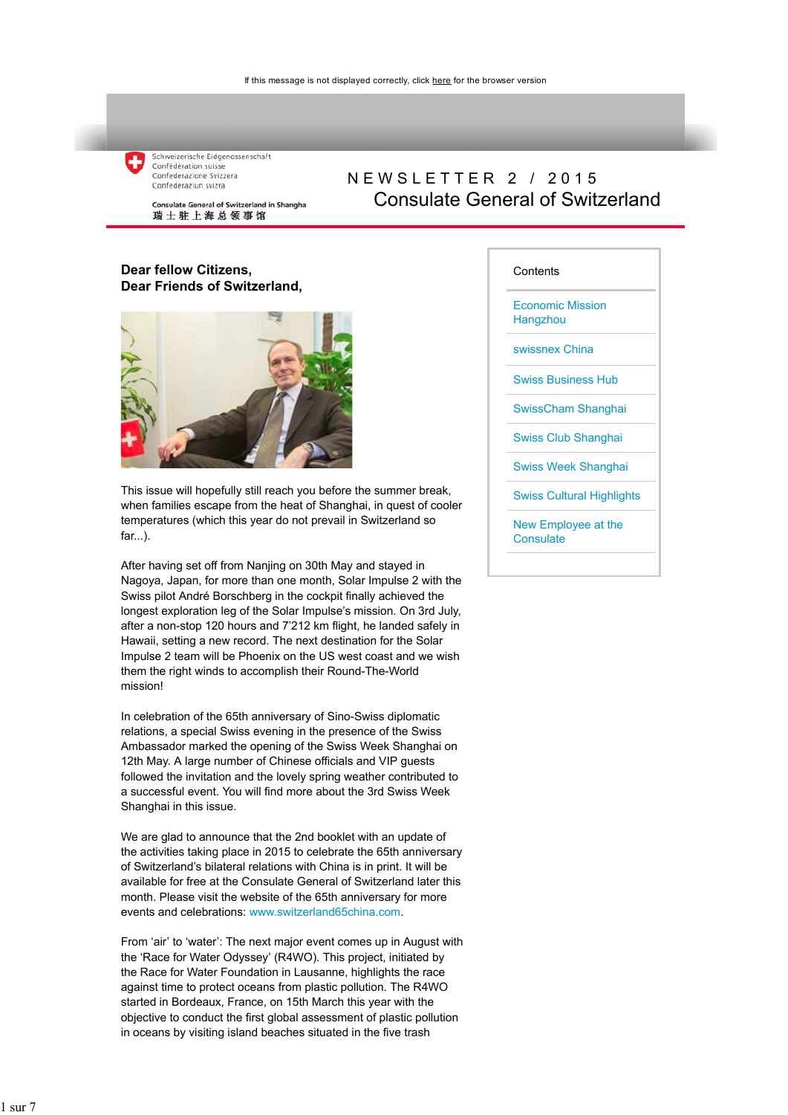Schweizerische Eidgenossenschaft Confédération suisse Confederazione Svizzera Confederaziun svizra

Consulate General of Switzerland in Shanghai 瑞士驻上海总领事馆

## NEWSLETTER 2 / 2015 Consulate General of Switzerland

#### **Dear fellow Citizens, Dear Friends of Switzerland,**



This issue will hopefully still reach you before the summer break, when families escape from the heat of Shanghai, in quest of cooler temperatures (which this year do not prevail in Switzerland so far...).

After having set off from Nanjing on 30th May and stayed in Nagoya, Japan, for more than one month, Solar Impulse 2 with the Swiss pilot André Borschberg in the cockpit finally achieved the longest exploration leg of the Solar Impulse's mission. On 3rd July, after a non-stop 120 hours and 7'212 km flight, he landed safely in Hawaii, setting a new record. The next destination for the Solar Impulse 2 team will be Phoenix on the US west coast and we wish them the right winds to accomplish their Round-The-World mission!

In celebration of the 65th anniversary of Sino-Swiss diplomatic relations, a special Swiss evening in the presence of the Swiss Ambassador marked the opening of the Swiss Week Shanghai on 12th May. A large number of Chinese officials and VIP guests followed the invitation and the lovely spring weather contributed to a successful event. You will find more about the 3rd Swiss Week Shanghai in this issue.

We are glad to announce that the 2nd booklet with an update of the activities taking place in 2015 to celebrate the 65th anniversary of Switzerland's bilateral relations with China is in print. It will be available for free at the Consulate General of Switzerland later this month. Please visit the website of the 65th anniversary for more events and celebrations: www.switzerland65china.com.

From 'air' to 'water': The next major event comes up in August with the 'Race for Water Odyssey' (R4WO). This project, initiated by the Race for Water Foundation in Lausanne, highlights the race against time to protect oceans from plastic pollution. The R4WO started in Bordeaux, France, on 15th March this year with the objective to conduct the first global assessment of plastic pollution in oceans by visiting island beaches situated in the five trash

#### **Contents**

Economic Mission **Hangzhou** 

swissnex China

Swiss Business Hub

SwissCham Shanghai

Swiss Club Shanghai

Swiss Week Shanghai

Swiss Cultural Highlights

New Employee at the **Consulate**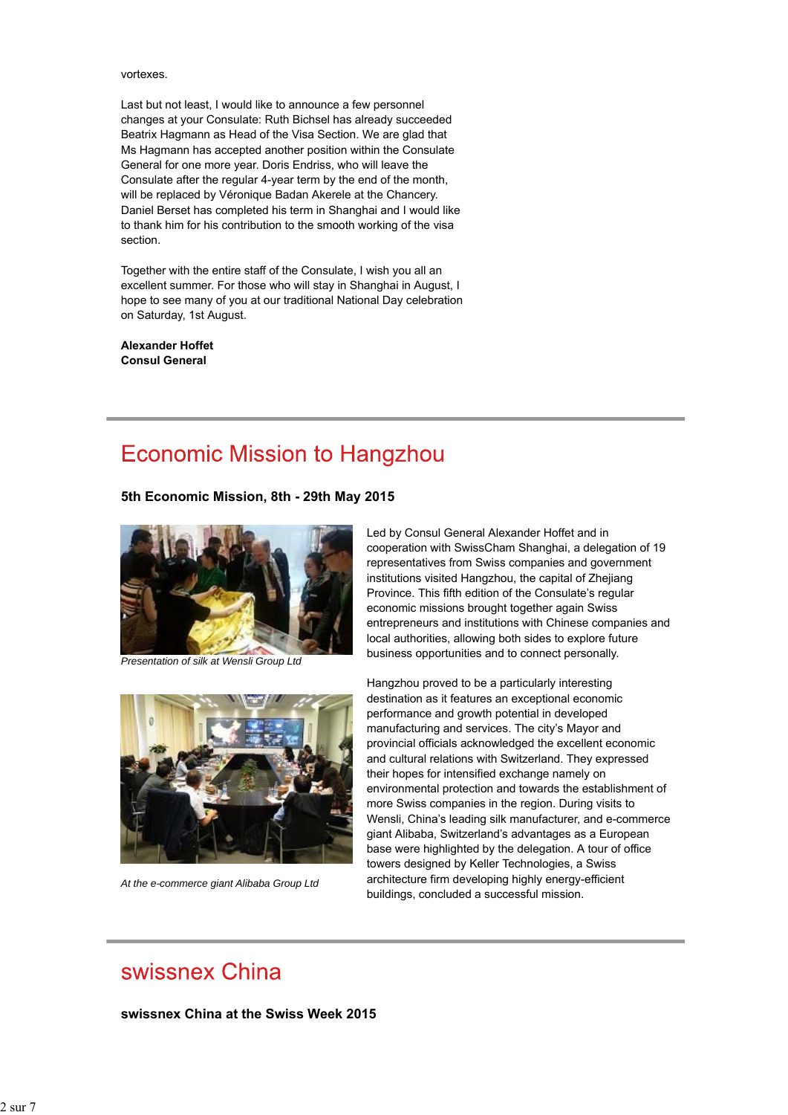vortexes.

Last but not least, I would like to announce a few personnel changes at your Consulate: Ruth Bichsel has already succeeded Beatrix Hagmann as Head of the Visa Section. We are glad that Ms Hagmann has accepted another position within the Consulate General for one more year. Doris Endriss, who will leave the Consulate after the regular 4-year term by the end of the month, will be replaced by Véronique Badan Akerele at the Chancery. Daniel Berset has completed his term in Shanghai and I would like to thank him for his contribution to the smooth working of the visa section.

Together with the entire staff of the Consulate, I wish you all an excellent summer. For those who will stay in Shanghai in August, I hope to see many of you at our traditional National Day celebration on Saturday, 1st August.

**Alexander Hoffet Consul General**

## **Economic Mission to Hangzhou**

**5th Economic Mission, 8th - 29th May 2015**



*Presentation of silk at Wensli Group Ltd*



*At the e-commerce giant Alibaba Group Ltd*

Led by Consul General Alexander Hoffet and in cooperation with SwissCham Shanghai, a delegation of 19 representatives from Swiss companies and government institutions visited Hangzhou, the capital of Zhejiang Province. This fifth edition of the Consulate's regular economic missions brought together again Swiss entrepreneurs and institutions with Chinese companies and local authorities, allowing both sides to explore future business opportunities and to connect personally.

Hangzhou proved to be a particularly interesting destination as it features an exceptional economic performance and growth potential in developed manufacturing and services. The city's Mayor and provincial officials acknowledged the excellent economic and cultural relations with Switzerland. They expressed their hopes for intensified exchange namely on environmental protection and towards the establishment of more Swiss companies in the region. During visits to Wensli, China's leading silk manufacturer, and e-commerce giant Alibaba, Switzerland's advantages as a European base were highlighted by the delegation. A tour of office towers designed by Keller Technologies, a Swiss architecture firm developing highly energy-efficient buildings, concluded a successful mission.

## swissnex China

**swissnex China at the Swiss Week 2015**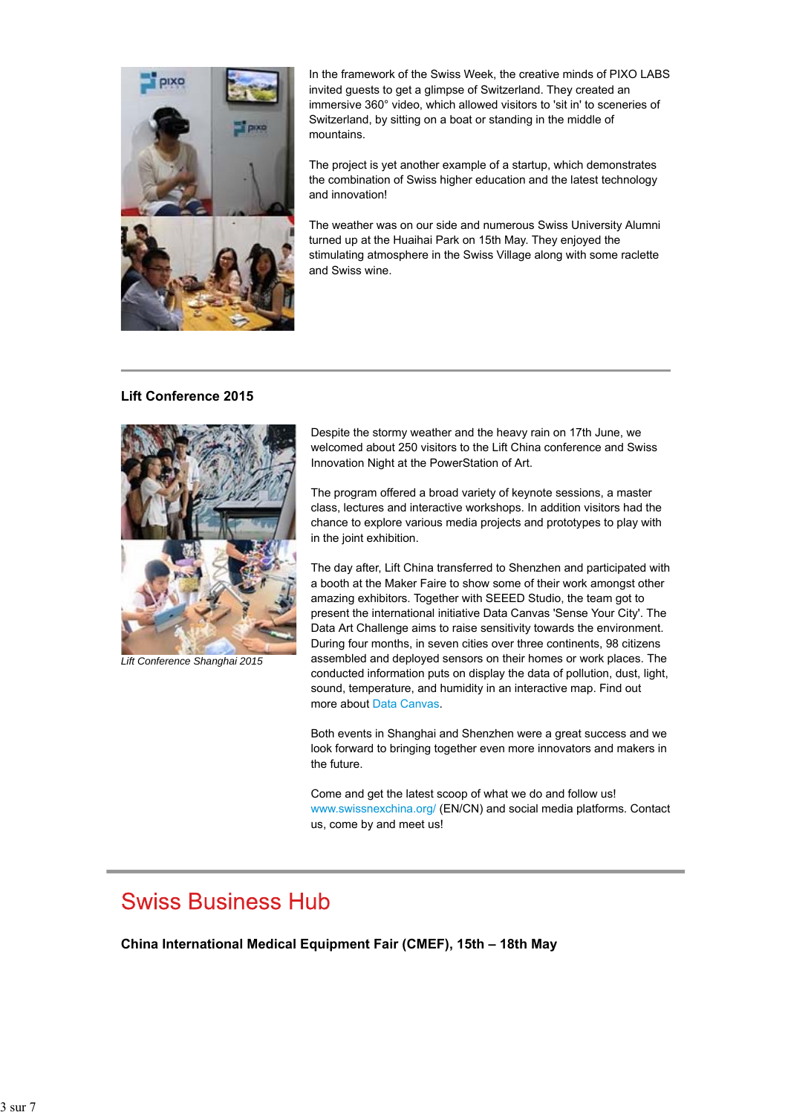

In the framework of the Swiss Week, the creative minds of PIXO LABS invited guests to get a glimpse of Switzerland. They created an immersive 360° video, which allowed visitors to 'sit in' to sceneries of Switzerland, by sitting on a boat or standing in the middle of mountains.

The project is yet another example of a startup, which demonstrates the combination of Swiss higher education and the latest technology and innovation!

The weather was on our side and numerous Swiss University Alumni turned up at the Huaihai Park on 15th May. They enjoyed the stimulating atmosphere in the Swiss Village along with some raclette and Swiss wine.

#### **Lift Conference 2015**



*Lift Conference Shanghai 2015*

Despite the stormy weather and the heavy rain on 17th June, we welcomed about 250 visitors to the Lift China conference and Swiss Innovation Night at the PowerStation of Art.

The program offered a broad variety of keynote sessions, a master class, lectures and interactive workshops. In addition visitors had the chance to explore various media projects and prototypes to play with in the joint exhibition.

The day after, Lift China transferred to Shenzhen and participated with a booth at the Maker Faire to show some of their work amongst other amazing exhibitors. Together with SEEED Studio, the team got to present the international initiative Data Canvas 'Sense Your City'. The Data Art Challenge aims to raise sensitivity towards the environment. During four months, in seven cities over three continents, 98 citizens assembled and deployed sensors on their homes or work places. The conducted information puts on display the data of pollution, dust, light, sound, temperature, and humidity in an interactive map. Find out more about Data Canvas.

Both events in Shanghai and Shenzhen were a great success and we look forward to bringing together even more innovators and makers in the future.

Come and get the latest scoop of what we do and follow us! www.swissnexchina.org/ (EN/CN) and social media platforms. Contact us, come by and meet us!

## **Swiss Business Hub**

**China International Medical Equipment Fair (CMEF), 15th – 18th May**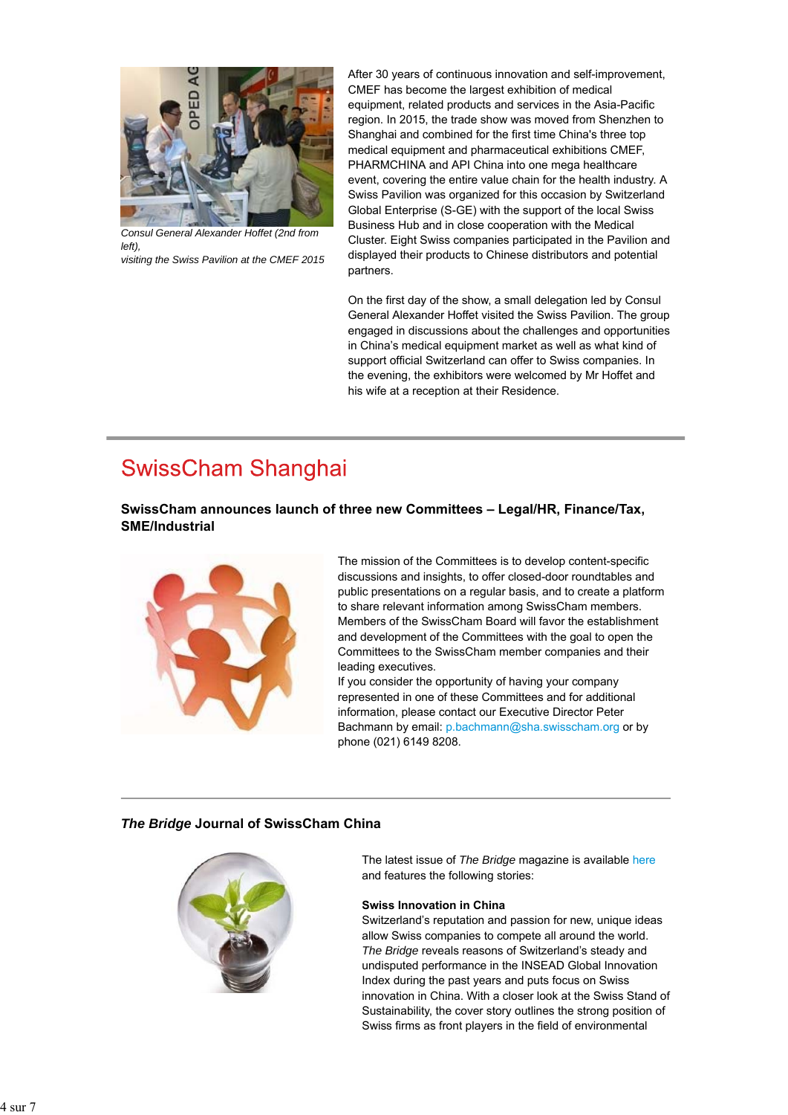

*Consul General Alexander Hoffet (2nd from left),*

*visiting the Swiss Pavilion at the CMEF 2015*

After 30 years of continuous innovation and self-improvement, CMEF has become the largest exhibition of medical equipment, related products and services in the Asia-Pacific region. In 2015, the trade show was moved from Shenzhen to Shanghai and combined for the first time China's three top medical equipment and pharmaceutical exhibitions CMEF, PHARMCHINA and API China into one mega healthcare event, covering the entire value chain for the health industry. A Swiss Pavilion was organized for this occasion by Switzerland Global Enterprise (S-GE) with the support of the local Swiss Business Hub and in close cooperation with the Medical Cluster. Eight Swiss companies participated in the Pavilion and displayed their products to Chinese distributors and potential partners.

On the first day of the show, a small delegation led by Consul General Alexander Hoffet visited the Swiss Pavilion. The group engaged in discussions about the challenges and opportunities in China's medical equipment market as well as what kind of support official Switzerland can offer to Swiss companies. In the evening, the exhibitors were welcomed by Mr Hoffet and his wife at a reception at their Residence.

## **SwissCham Shanghai**

**SwissCham announces launch of three new Committees – Legal/HR, Finance/Tax, SME/Industrial**



The mission of the Committees is to develop content-specific discussions and insights, to offer closed-door roundtables and public presentations on a regular basis, and to create a platform to share relevant information among SwissCham members. Members of the SwissCham Board will favor the establishment and development of the Committees with the goal to open the Committees to the SwissCham member companies and their leading executives.

If you consider the opportunity of having your company represented in one of these Committees and for additional information, please contact our Executive Director Peter Bachmann by email: p.bachmann@sha.swisscham.org or by phone (021) 6149 8208.

## *The Bridge* **Journal of SwissCham China**



The latest issue of *The Bridge* magazine is available here and features the following stories:

#### **Swiss Innovation in China**

Switzerland's reputation and passion for new, unique ideas allow Swiss companies to compete all around the world. *The Bridge* reveals reasons of Switzerland's steady and undisputed performance in the INSEAD Global Innovation Index during the past years and puts focus on Swiss innovation in China. With a closer look at the Swiss Stand of Sustainability, the cover story outlines the strong position of Swiss firms as front players in the field of environmental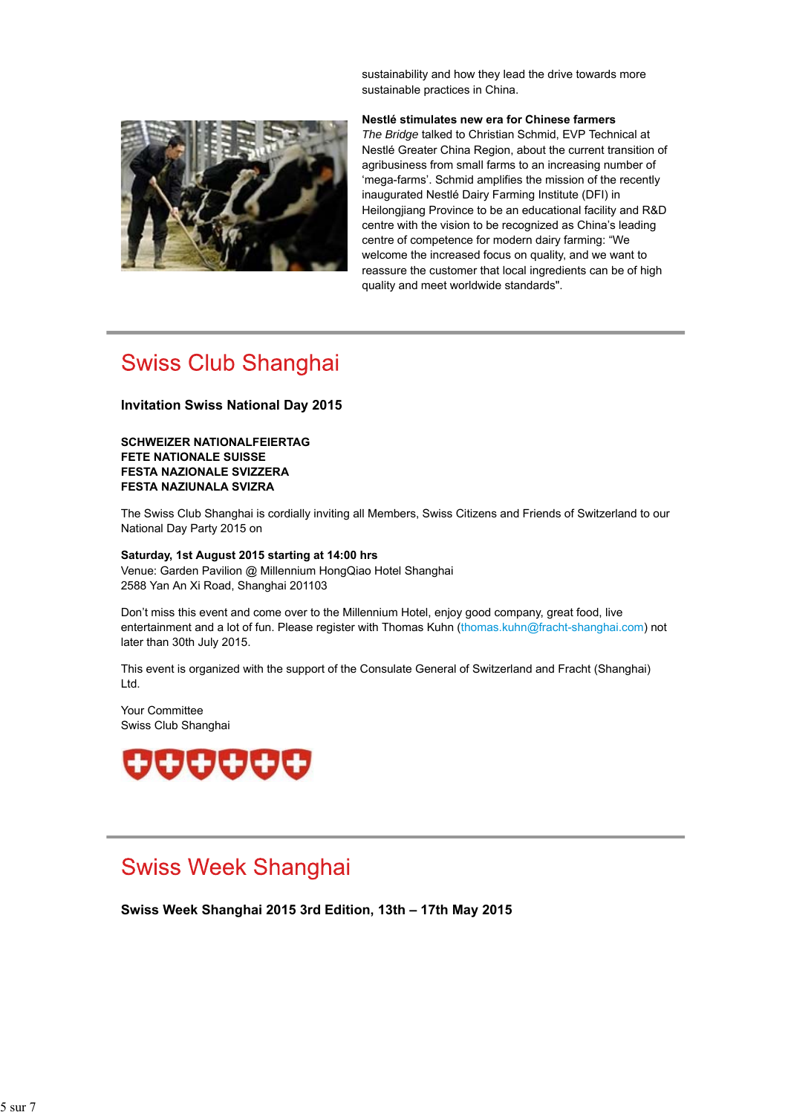sustainability and how they lead the drive towards more sustainable practices in China.



**Nestlé stimulates new era for Chinese farmers** *The Bridge* talked to Christian Schmid, EVP Technical at Nestlé Greater China Region, about the current transition of agribusiness from small farms to an increasing number of 'mega-farms'. Schmid amplifies the mission of the recently inaugurated Nestlé Dairy Farming Institute (DFI) in Heilongjiang Province to be an educational facility and R&D centre with the vision to be recognized as China's leading centre of competence for modern dairy farming: "We welcome the increased focus on quality, and we want to reassure the customer that local ingredients can be of high quality and meet worldwide standards".

## **Swiss Club Shanghai**

#### **Invitation Swiss National Day 2015**

**SCHWEIZER NATIONALFEIERTAG FETE NATIONALE SUISSE FESTA NAZIONALE SVIZZERA FESTA NAZIUNALA SVIZRA**

The Swiss Club Shanghai is cordially inviting all Members, Swiss Citizens and Friends of Switzerland to our National Day Party 2015 on

#### **Saturday, 1st August 2015 starting at 14:00 hrs** Venue: Garden Pavilion @ Millennium HongQiao Hotel Shanghai 2588 Yan An Xi Road, Shanghai 201103

Don't miss this event and come over to the Millennium Hotel, enjoy good company, great food, live entertainment and a lot of fun. Please register with Thomas Kuhn (thomas.kuhn@fracht-shanghai.com) not later than 30th July 2015.

This event is organized with the support of the Consulate General of Switzerland and Fracht (Shanghai) Ltd.

Your Committee Swiss Club Shanghai



## **Swiss Week Shanghai**

**Swiss Week Shanghai 2015 3rd Edition, 13th – 17th May 2015**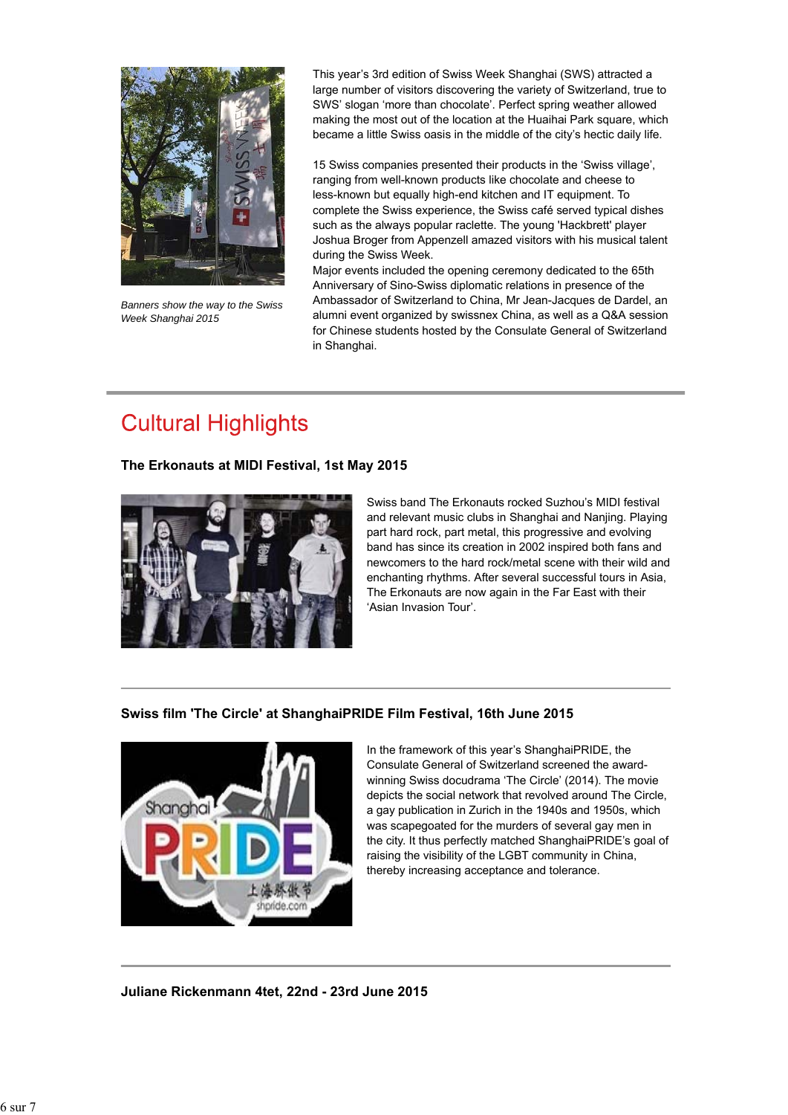

*Banners show the way to the Swiss Week Shanghai 2015*

This year's 3rd edition of Swiss Week Shanghai (SWS) attracted a large number of visitors discovering the variety of Switzerland, true to SWS' slogan 'more than chocolate'. Perfect spring weather allowed making the most out of the location at the Huaihai Park square, which became a little Swiss oasis in the middle of the city's hectic daily life.

15 Swiss companies presented their products in the 'Swiss village', ranging from well-known products like chocolate and cheese to less-known but equally high-end kitchen and IT equipment. To complete the Swiss experience, the Swiss café served typical dishes such as the always popular raclette. The young 'Hackbrett' player Joshua Broger from Appenzell amazed visitors with his musical talent during the Swiss Week.

Major events included the opening ceremony dedicated to the 65th Anniversary of Sino-Swiss diplomatic relations in presence of the Ambassador of Switzerland to China, Mr Jean-Jacques de Dardel, an alumni event organized by swissnex China, as well as a Q&A session for Chinese students hosted by the Consulate General of Switzerland in Shanghai.

# **Cultural Highlights**

## **The Erkonauts at MIDI Festival, 1st May 2015**



Swiss band The Erkonauts rocked Suzhou's MIDI festival and relevant music clubs in Shanghai and Nanjing. Playing part hard rock, part metal, this progressive and evolving band has since its creation in 2002 inspired both fans and newcomers to the hard rock/metal scene with their wild and enchanting rhythms. After several successful tours in Asia, The Erkonauts are now again in the Far East with their 'Asian Invasion Tour'.

## **Swiss film 'The Circle' at ShanghaiPRIDE Film Festival, 16th June 2015**



In the framework of this year's ShanghaiPRIDE, the Consulate General of Switzerland screened the awardwinning Swiss docudrama 'The Circle' (2014). The movie depicts the social network that revolved around The Circle, a gay publication in Zurich in the 1940s and 1950s, which was scapegoated for the murders of several gay men in the city. It thus perfectly matched ShanghaiPRIDE's goal of raising the visibility of the LGBT community in China, thereby increasing acceptance and tolerance.

**Juliane Rickenmann 4tet, 22nd - 23rd June 2015**